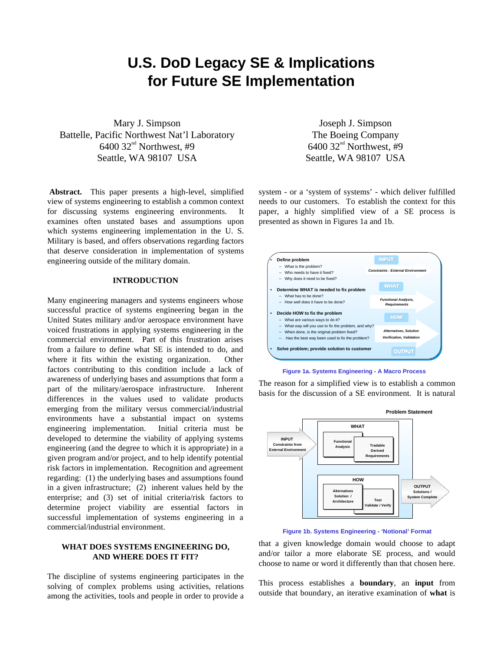# **U.S. DoD Legacy SE & Implications for Future SE Implementation**

Mary J. Simpson Battelle, Pacific Northwest Nat'l Laboratory  $6400$   $32<sup>nd</sup>$  Northwest, #9 Seattle, WA 98107 USA

 **Abstract.** This paper presents a high-level, simplified view of systems engineering to establish a common context for discussing systems engineering environments. It examines often unstated bases and assumptions upon which systems engineering implementation in the U. S. Military is based, and offers observations regarding factors that deserve consideration in implementation of systems engineering outside of the military domain.

## **INTRODUCTION**

Many engineering managers and systems engineers whose successful practice of systems engineering began in the United States military and/or aerospace environment have voiced frustrations in applying systems engineering in the commercial environment. Part of this frustration arises from a failure to define what SE is intended to do, and where it fits within the existing organization. Other factors contributing to this condition include a lack of awareness of underlying bases and assumptions that form a part of the military/aerospace infrastructure. Inherent differences in the values used to validate products emerging from the military versus commercial/industrial environments have a substantial impact on systems engineering implementation. Initial criteria must be developed to determine the viability of applying systems engineering (and the degree to which it is appropriate) in a given program and/or project, and to help identify potential risk factors in implementation. Recognition and agreement regarding: (1) the underlying bases and assumptions found in a given infrastructure; (2) inherent values held by the enterprise; and (3) set of initial criteria/risk factors to determine project viability are essential factors in successful implementation of systems engineering in a commercial/industrial environment.

## **WHAT DOES SYSTEMS ENGINEERING DO, AND WHERE DOES IT FIT?**

The discipline of systems engineering participates in the solving of complex problems using activities, relations among the activities, tools and people in order to provide a

Joseph J. Simpson The Boeing Company  $6400$   $32<sup>nd</sup>$  Northwest, #9 Seattle, WA 98107 USA

system - or a 'system of systems' - which deliver fulfilled needs to our customers. To establish the context for this paper, a highly simplified view of a SE process is presented as shown in Figures 1a and 1b.



**Figure 1a. Systems Engineering - A Macro Process**

The reason for a simplified view is to establish a common basis for the discussion of a SE environment. It is natural



**Figure 1b. Systems Engineering - 'Notional' Format**

that a given knowledge domain would choose to adapt and/or tailor a more elaborate SE process, and would choose to name or word it differently than that chosen here.

This process establishes a **boundary**, an **input** from outside that boundary, an iterative examination of **what** is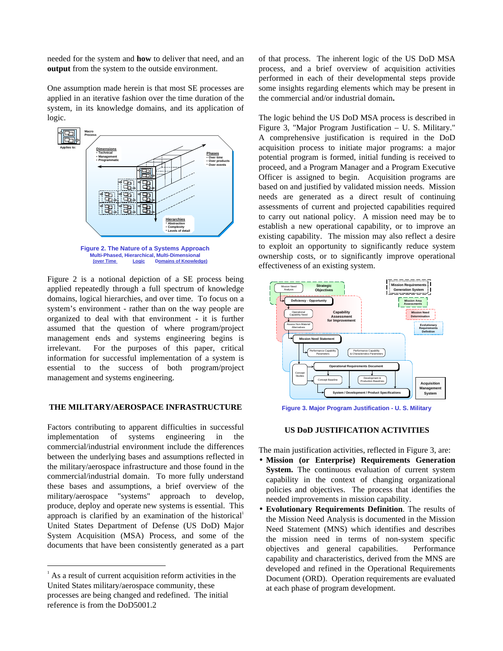needed for the system and **how** to deliver that need, and an **output** from the system to the outside environment.

One assumption made herein is that most SE processes are applied in an iterative fashion over the time duration of the system, in its knowledge domains, and its application of logic.



**Figure 2. The Nature of a Systems Approach Multi-Phased, Hierarchical, Multi-Dimensional Logic** Domains of Knowledge)

Figure 2 is a notional depiction of a SE process being applied repeatedly through a full spectrum of knowledge domains, logical hierarchies, and over time. To focus on a system's environment - rather than on the way people are organized to deal with that environment - it is further assumed that the question of where program/project management ends and systems engineering begins is irrelevant. For the purposes of this paper, critical information for successful implementation of a system is essential to the success of both program/project management and systems engineering.

# **THE MILITARY/AEROSPACE INFRASTRUCTURE**

Factors contributing to apparent difficulties in successful implementation of systems engineering in the commercial/industrial environment include the differences between the underlying bases and assumptions reflected in the military/aerospace infrastructure and those found in the commercial/industrial domain. To more fully understand these bases and assumptions, a brief overview of the military/aerospace "systems" approach to develop, produce, deploy and operate new systems is essential. This approach is clarified by an examination of the historical<sup>1</sup> United States Department of Defense (US DoD) Major System Acquisition (MSA) Process, and some of the documents that have been consistently generated as a part

l

of that process. The inherent logic of the US DoD MSA process, and a brief overview of acquisition activities performed in each of their developmental steps provide some insights regarding elements which may be present in the commercial and/or industrial domain**.** 

The logic behind the US DoD MSA process is described in Figure 3, "Major Program Justification – U. S. Military." A comprehensive justification is required in the DoD acquisition process to initiate major programs: a major potential program is formed, initial funding is received to proceed, and a Program Manager and a Program Executive Officer is assigned to begin. Acquisition programs are based on and justified by validated mission needs. Mission needs are generated as a direct result of continuing assessments of current and projected capabilities required to carry out national policy. A mission need may be to establish a new operational capability, or to improve an existing capability. The mission may also reflect a desire to exploit an opportunity to significantly reduce system ownership costs, or to significantly improve operational effectiveness of an existing system.



**Figure 3. Major Program Justification - U. S. Military**

## **US DoD JUSTIFICATION ACTIVITIES**

The main justification activities, reflected in Figure 3, are:

- **Mission (or Enterprise) Requirements Generation System.** The continuous evaluation of current system capability in the context of changing organizational policies and objectives. The process that identifies the needed improvements in mission capability.
- **Evolutionary Requirements Definition**. The results of the Mission Need Analysis is documented in the Mission Need Statement (MNS) which identifies and describes the mission need in terms of non-system specific objectives and general capabilities. Performance capability and characteristics, derived from the MNS are developed and refined in the Operational Requirements Document (ORD). Operation requirements are evaluated at each phase of program development.

<sup>&</sup>lt;sup>1</sup> As a result of current acquisition reform activities in the United States military/aerospace community, these processes are being changed and redefined. The initial reference is from the DoD5001.2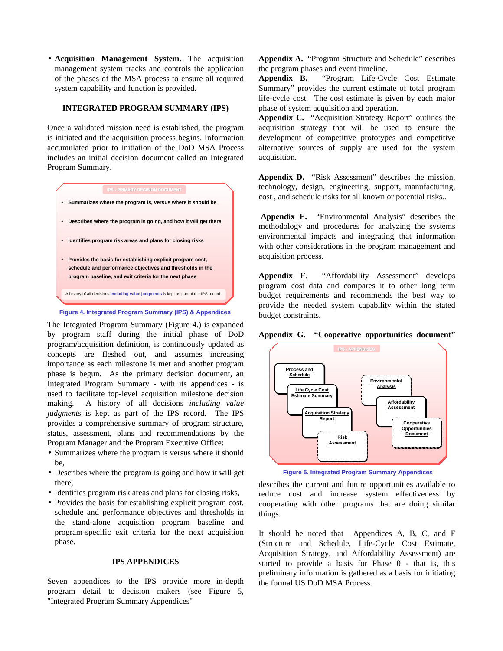• **Acquisition Management System.** The acquisition management system tracks and controls the application of the phases of the MSA process to ensure all required system capability and function is provided.

## **INTEGRATED PROGRAM SUMMARY (IPS)**

Once a validated mission need is established, the program is initiated and the acquisition process begins. Information accumulated prior to initiation of the DoD MSA Process includes an initial decision document called an Integrated Program Summary.



**Figure 4. Integrated Program Summary (IPS) & Appendices**

The Integrated Program Summary (Figure 4.) is expanded by program staff during the initial phase of DoD program/acquisition definition, is continuously updated as concepts are fleshed out, and assumes increasing importance as each milestone is met and another program phase is begun. As the primary decision document, an Integrated Program Summary - with its appendices - is used to facilitate top-level acquisition milestone decision making. A history of all decisions *including value judgments* is kept as part of the IPS record. The IPS provides a comprehensive summary of program structure, status, assessment, plans and recommendations by the Program Manager and the Program Executive Office:

- Summarizes where the program is versus where it should be,
- Describes where the program is going and how it will get there,
- Identifies program risk areas and plans for closing risks,
- Provides the basis for establishing explicit program cost, schedule and performance objectives and thresholds in the stand-alone acquisition program baseline and program-specific exit criteria for the next acquisition phase.

## **IPS APPENDICES**

Seven appendices to the IPS provide more in-depth program detail to decision makers (see Figure 5, "Integrated Program Summary Appendices"

**Appendix A.** "Program Structure and Schedule" describes the program phases and event timeline.

**Appendix B.** "Program Life-Cycle Cost Estimate Summary" provides the current estimate of total program life-cycle cost. The cost estimate is given by each major phase of system acquisition and operation.

**Appendix C.** "Acquisition Strategy Report" outlines the acquisition strategy that will be used to ensure the development of competitive prototypes and competitive alternative sources of supply are used for the system acquisition.

**Appendix D.** "Risk Assessment" describes the mission, technology, design, engineering, support, manufacturing, cost , and schedule risks for all known or potential risks..

**Appendix E.** "Environmental Analysis" describes the methodology and procedures for analyzing the systems environmental impacts and integrating that information with other considerations in the program management and acquisition process.

**Appendix F**. "Affordability Assessment" develops program cost data and compares it to other long term budget requirements and recommends the best way to provide the needed system capability within the stated budget constraints.





**Figure 5. Integrated Program Summary Appendices**

describes the current and future opportunities available to reduce cost and increase system effectiveness by cooperating with other programs that are doing similar things.

It should be noted that Appendices A, B, C, and F (Structure and Schedule, Life-Cycle Cost Estimate, Acquisition Strategy, and Affordability Assessment) are started to provide a basis for Phase 0 - that is, this preliminary information is gathered as a basis for initiating the formal US DoD MSA Process.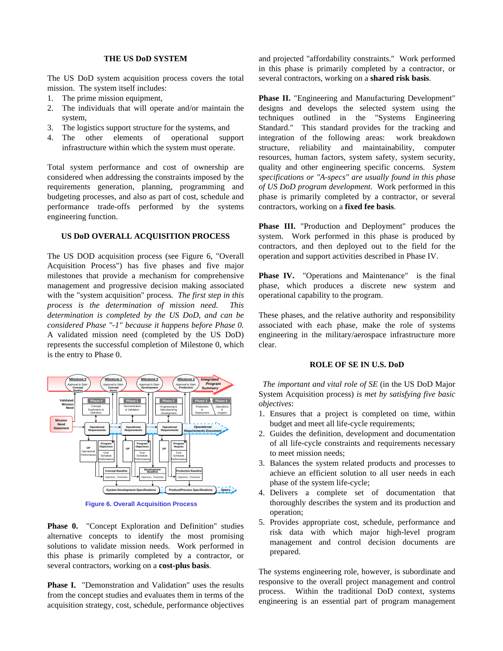## **THE US DoD SYSTEM**

The US DoD system acquisition process covers the total mission. The system itself includes:

- 1. The prime mission equipment,
- 2. The individuals that will operate and/or maintain the system,
- 3. The logistics support structure for the systems, and
- 4. The other elements of operational support infrastructure within which the system must operate.

Total system performance and cost of ownership are considered when addressing the constraints imposed by the requirements generation, planning, programming and budgeting processes, and also as part of cost, schedule and performance trade-offs performed by the systems engineering function.

## **US DoD OVERALL ACQUISITION PROCESS**

The US DOD acquisition process (see Figure 6, "Overall Acquisition Process") has five phases and five major milestones that provide a mechanism for comprehensive management and progressive decision making associated with the "system acquisition" process*. The first step in this process is the determination of mission need. This determination is completed by the US DoD, and can be considered Phase "-1" because it happens before Phase 0.* A validated mission need (completed by the US DoD) represents the successful completion of Milestone 0, which is the entry to Phase 0.



**Figure 6. Overall Acquisition Process**

**Phase 0.** "Concept Exploration and Definition" studies alternative concepts to identify the most promising solutions to validate mission needs. Work performed in this phase is primarily completed by a contractor, or several contractors, working on a **cost-plus basis**.

**Phase I.** "Demonstration and Validation" uses the results from the concept studies and evaluates them in terms of the acquisition strategy, cost, schedule, performance objectives

and projected "affordability constraints." Work performed in this phase is primarily completed by a contractor, or several contractors, working on a **shared risk basis**.

**Phase II.** "Engineering and Manufacturing Development" designs and develops the selected system using the techniques outlined in the "Systems Engineering Standard." This standard provides for the tracking and integration of the following areas: work breakdown structure, reliability and maintainability, computer resources, human factors, system safety, system security, quality and other engineering specific concerns. *System specifications or "A-specs" are usually found in this phase of US DoD program development.* Work performed in this phase is primarily completed by a contractor, or several contractors, working on a **fixed fee basis**.

**Phase III.** "Production and Deployment" produces the system. Work performed in this phase is produced by contractors, and then deployed out to the field for the operation and support activities described in Phase IV.

**Phase IV.** "Operations and Maintenance"is the final phase, which produces a discrete new system and operational capability to the program.

These phases, and the relative authority and responsibility associated with each phase, make the role of systems engineering in the military/aerospace infrastructure more clear.

#### **ROLE OF SE IN U.S. DoD**

 *The important and vital role of SE* (in the US DoD Major System Acquisition process) *is met by satisfying five basic objectives*:

- 1. Ensures that a project is completed on time, within budget and meet all life-cycle requirements;
- 2. Guides the definition, development and documentation of all life-cycle constraints and requirements necessary to meet mission needs;
- 3. Balances the system related products and processes to achieve an efficient solution to all user needs in each phase of the system life-cycle;
- 4. Delivers a complete set of documentation that thoroughly describes the system and its production and operation;
- 5. Provides appropriate cost, schedule, performance and risk data with which major high-level program management and control decision documents are prepared.

The systems engineering role, however, is subordinate and responsive to the overall project management and control process. Within the traditional DoD context, systems engineering is an essential part of program management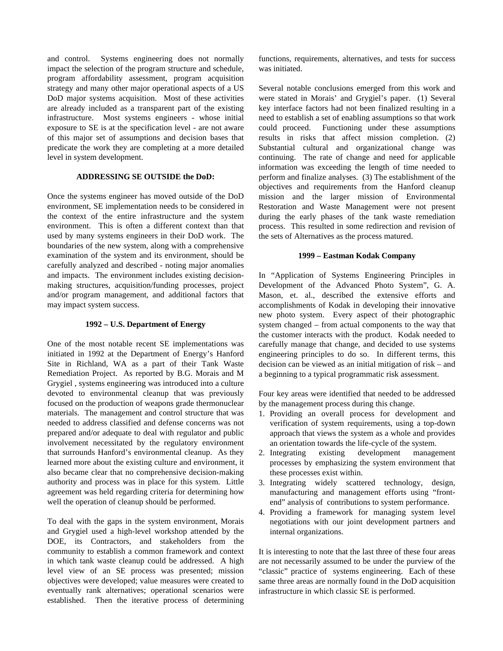and control. Systems engineering does not normally impact the selection of the program structure and schedule, program affordability assessment, program acquisition strategy and many other major operational aspects of a US DoD major systems acquisition. Most of these activities are already included as a transparent part of the existing infrastructure. Most systems engineers - whose initial exposure to SE is at the specification level - are not aware of this major set of assumptions and decision bases that predicate the work they are completing at a more detailed level in system development.

## **ADDRESSING SE OUTSIDE the DoD:**

Once the systems engineer has moved outside of the DoD environment, SE implementation needs to be considered in the context of the entire infrastructure and the system environment. This is often a different context than that used by many systems engineers in their DoD work. The boundaries of the new system, along with a comprehensive examination of the system and its environment, should be carefully analyzed and described - noting major anomalies and impacts. The environment includes existing decisionmaking structures, acquisition/funding processes, project and/or program management, and additional factors that may impact system success.

#### **1992 – U.S. Department of Energy**

One of the most notable recent SE implementations was initiated in 1992 at the Department of Energy's Hanford Site in Richland, WA as a part of their Tank Waste Remediation Project. As reported by B.G. Morais and M Grygiel , systems engineering was introduced into a culture devoted to environmental cleanup that was previously focused on the production of weapons grade thermonuclear materials. The management and control structure that was needed to address classified and defense concerns was not prepared and/or adequate to deal with regulator and public involvement necessitated by the regulatory environment that surrounds Hanford's environmental cleanup. As they learned more about the existing culture and environment, it also became clear that no comprehensive decision-making authority and process was in place for this system. Little agreement was held regarding criteria for determining how well the operation of cleanup should be performed.

To deal with the gaps in the system environment, Morais and Grygiel used a high-level workshop attended by the DOE, its Contractors, and stakeholders from the community to establish a common framework and context in which tank waste cleanup could be addressed. A high level view of an SE process was presented; mission objectives were developed; value measures were created to eventually rank alternatives; operational scenarios were established. Then the iterative process of determining

functions, requirements, alternatives, and tests for success was initiated.

Several notable conclusions emerged from this work and were stated in Morais' and Grygiel's paper. (1) Several key interface factors had not been finalized resulting in a need to establish a set of enabling assumptions so that work could proceed. Functioning under these assumptions results in risks that affect mission completion. (2) Substantial cultural and organizational change was continuing. The rate of change and need for applicable information was exceeding the length of time needed to perform and finalize analyses. (3) The establishment of the objectives and requirements from the Hanford cleanup mission and the larger mission of Environmental Restoration and Waste Management were not present during the early phases of the tank waste remediation process. This resulted in some redirection and revision of the sets of Alternatives as the process matured.

#### **1999 – Eastman Kodak Company**

In "Application of Systems Engineering Principles in Development of the Advanced Photo System", G. A. Mason, et. al., described the extensive efforts and accomplishments of Kodak in developing their innovative new photo system. Every aspect of their photographic system changed – from actual components to the way that the customer interacts with the product. Kodak needed to carefully manage that change, and decided to use systems engineering principles to do so. In different terms, this decision can be viewed as an initial mitigation of risk – and a beginning to a typical programmatic risk assessment.

Four key areas were identified that needed to be addressed by the management process during this change.

- 1. Providing an overall process for development and verification of system requirements, using a top-down approach that views the system as a whole and provides an orientation towards the life-cycle of the system.
- 2. Integrating existing development management processes by emphasizing the system environment that these processes exist within.
- 3. Integrating widely scattered technology, design, manufacturing and management efforts using "frontend" analysis of contributions to system performance.
- 4. Providing a framework for managing system level negotiations with our joint development partners and internal organizations.

It is interesting to note that the last three of these four areas are not necessarily assumed to be under the purview of the "classic" practice of systems engineering. Each of these same three areas are normally found in the DoD acquisition infrastructure in which classic SE is performed.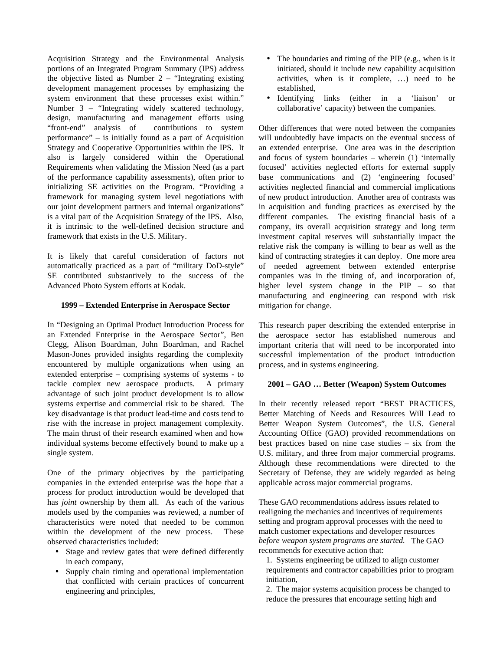Acquisition Strategy and the Environmental Analysis portions of an Integrated Program Summary (IPS) address the objective listed as Number  $2 -$  "Integrating existing development management processes by emphasizing the system environment that these processes exist within." Number 3 – "Integrating widely scattered technology, design, manufacturing and management efforts using "front-end" analysis of contributions to system performance" – is initially found as a part of Acquisition Strategy and Cooperative Opportunities within the IPS. It also is largely considered within the Operational Requirements when validating the Mission Need (as a part of the performance capability assessments), often prior to initializing SE activities on the Program. "Providing a framework for managing system level negotiations with our joint development partners and internal organizations" is a vital part of the Acquisition Strategy of the IPS. Also, it is intrinsic to the well-defined decision structure and framework that exists in the U.S. Military.

It is likely that careful consideration of factors not automatically practiced as a part of "military DoD-style" SE contributed substantively to the success of the Advanced Photo System efforts at Kodak.

## **1999 – Extended Enterprise in Aerospace Sector**

In "Designing an Optimal Product Introduction Process for an Extended Enterprise in the Aerospace Sector", Ben Clegg, Alison Boardman, John Boardman, and Rachel Mason-Jones provided insights regarding the complexity encountered by multiple organizations when using an extended enterprise – comprising systems of systems - to tackle complex new aerospace products. A primary advantage of such joint product development is to allow systems expertise and commercial risk to be shared. The key disadvantage is that product lead-time and costs tend to rise with the increase in project management complexity. The main thrust of their research examined when and how individual systems become effectively bound to make up a single system.

One of the primary objectives by the participating companies in the extended enterprise was the hope that a process for product introduction would be developed that has *joint* ownership by them all. As each of the various models used by the companies was reviewed, a number of characteristics were noted that needed to be common within the development of the new process. These observed characteristics included:

- Stage and review gates that were defined differently in each company,
- Supply chain timing and operational implementation that conflicted with certain practices of concurrent engineering and principles,
- The boundaries and timing of the PIP (e.g., when is it initiated, should it include new capability acquisition activities, when is it complete, …) need to be established,
- Identifying links (either in a 'liaison' or collaborative' capacity) between the companies.

Other differences that were noted between the companies will undoubtedly have impacts on the eventual success of an extended enterprise. One area was in the description and focus of system boundaries – wherein (1) 'internally focused' activities neglected efforts for external supply base communications and (2) 'engineering focused' activities neglected financial and commercial implications of new product introduction. Another area of contrasts was in acquisition and funding practices as exercised by the different companies. The existing financial basis of a company, its overall acquisition strategy and long term investment capital reserves will substantially impact the relative risk the company is willing to bear as well as the kind of contracting strategies it can deploy. One more area of needed agreement between extended enterprise companies was in the timing of, and incorporation of, higher level system change in the PIP – so that manufacturing and engineering can respond with risk mitigation for change.

This research paper describing the extended enterprise in the aerospace sector has established numerous and important criteria that will need to be incorporated into successful implementation of the product introduction process, and in systems engineering.

# **2001 – GAO … Better (Weapon) System Outcomes**

In their recently released report "BEST PRACTICES, Better Matching of Needs and Resources Will Lead to Better Weapon System Outcomes", the U.S. General Accounting Office (GAO) provided recommendations on best practices based on nine case studies – six from the U.S. military, and three from major commercial programs. Although these recommendations were directed to the Secretary of Defense, they are widely regarded as being applicable across major commercial programs.

These GAO recommendations address issues related to realigning the mechanics and incentives of requirements setting and program approval processes with the need to match customer expectations and developer resources *before weapon system programs are started.* The GAO recommends for executive action that:

1. Systems engineering be utilized to align customer requirements and contractor capabilities prior to program initiation,

2. The major systems acquisition process be changed to reduce the pressures that encourage setting high and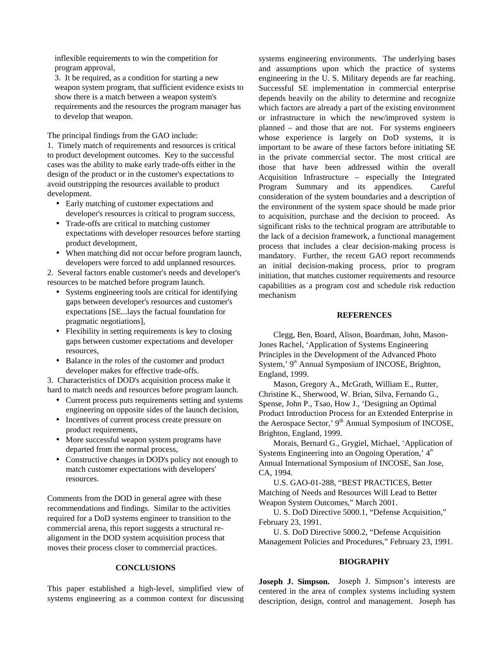inflexible requirements to win the competition for program approval,

3. It be required, as a condition for starting a new weapon system program, that sufficient evidence exists to show there is a match between a weapon system's requirements and the resources the program manager has to develop that weapon.

The principal findings from the GAO include:

1. Timely match of requirements and resources is critical to product development outcomes. Key to the successful cases was the ability to make early trade-offs either in the design of the product or in the customer's expectations to avoid outstripping the resources available to product development.

- Early matching of customer expectations and developer's resources is critical to program success,
- Trade-offs are critical to matching customer expectations with developer resources before starting product development,
- When matching did not occur before program launch, developers were forced to add unplanned resources.

2. Several factors enable customer's needs and developer's resources to be matched before program launch.

- Systems engineering tools are critical for identifying gaps between developer's resources and customer's expectations [SE...lays the factual foundation for pragmatic negotiations],
- Flexibility in setting requirements is key to closing gaps between customer expectations and developer resources,
- Balance in the roles of the customer and product developer makes for effective trade-offs.

3. Characteristics of DOD's acquisition process make it hard to match needs and resources before program launch.

- Current process puts requirements setting and systems engineering on opposite sides of the launch decision,
- Incentives of current process create pressure on product requirements,
- More successful weapon system programs have departed from the normal process,
- Constructive changes in DOD's policy not enough to match customer expectations with developers' resources.

Comments from the DOD in general agree with these recommendations and findings. Similar to the activities required for a DoD systems engineer to transition to the commercial arena, this report suggests a structural realignment in the DOD system acquisition process that moves their process closer to commercial practices.

# **CONCLUSIONS**

This paper established a high-level, simplified view of systems engineering as a common context for discussing

systems engineering environments. The underlying bases and assumptions upon which the practice of systems engineering in the U. S. Military depends are far reaching. Successful SE implementation in commercial enterprise depends heavily on the ability to determine and recognize which factors are already a part of the existing environment or infrastructure in which the new/improved system is planned – and those that are not. For systems engineers whose experience is largely on DoD systems, it is important to be aware of these factors before initiating SE in the private commercial sector. The most critical are those that have been addressed within the overall Acquisition Infrastructure – especially the Integrated Program Summary and its appendices. Careful consideration of the system boundaries and a description of the environment of the system space should be made prior to acquisition, purchase and the decision to proceed. As significant risks to the technical program are attributable to the lack of a decision framework, a functional management process that includes a clear decision-making process is mandatory. Further, the recent GAO report recommends an initial decision-making process, prior to program initiation, that matches customer requirements and resource capabilities as a program cost and schedule risk reduction mechanism

#### **REFERENCES**

Clegg, Ben, Board, Alison, Boardman, John, Mason-Jones Rachel, 'Application of Systems Engineering Principles in the Development of the Advanced Photo System,'  $9<sup>th</sup>$  Annual Symposium of INCOSE, Brighton, England, 1999.

Mason, Gregory A., McGrath, William E., Rutter, Christine K., Sherwood, W. Brian, Silva, Fernando G., Spense, John P., Tsao, How J., 'Designing an Optimal Product Introduction Process for an Extended Enterprise in the Aerospace Sector,'  $9<sup>th</sup>$  Annual Symposium of INCOSE, Brighton, England, 1999.

Morais, Bernard G., Grygiel, Michael, 'Application of Systems Engineering into an Ongoing Operation,  $4<sup>th</sup>$ Annual International Symposium of INCOSE, San Jose, CA, 1994.

U.S. GAO-01-288, "BEST PRACTICES, Better Matching of Needs and Resources Will Lead to Better Weapon System Outcomes," March 2001.

U. S. DoD Directive 5000.1, "Defense Acquisition," February 23, 1991.

U. S. DoD Directive 5000.2, "Defense Acquisition Management Policies and Procedures," February 23, 1991.

## **BIOGRAPHY**

**Joseph J. Simpson.** Joseph J. Simpson's interests are centered in the area of complex systems including system description, design, control and management. Joseph has